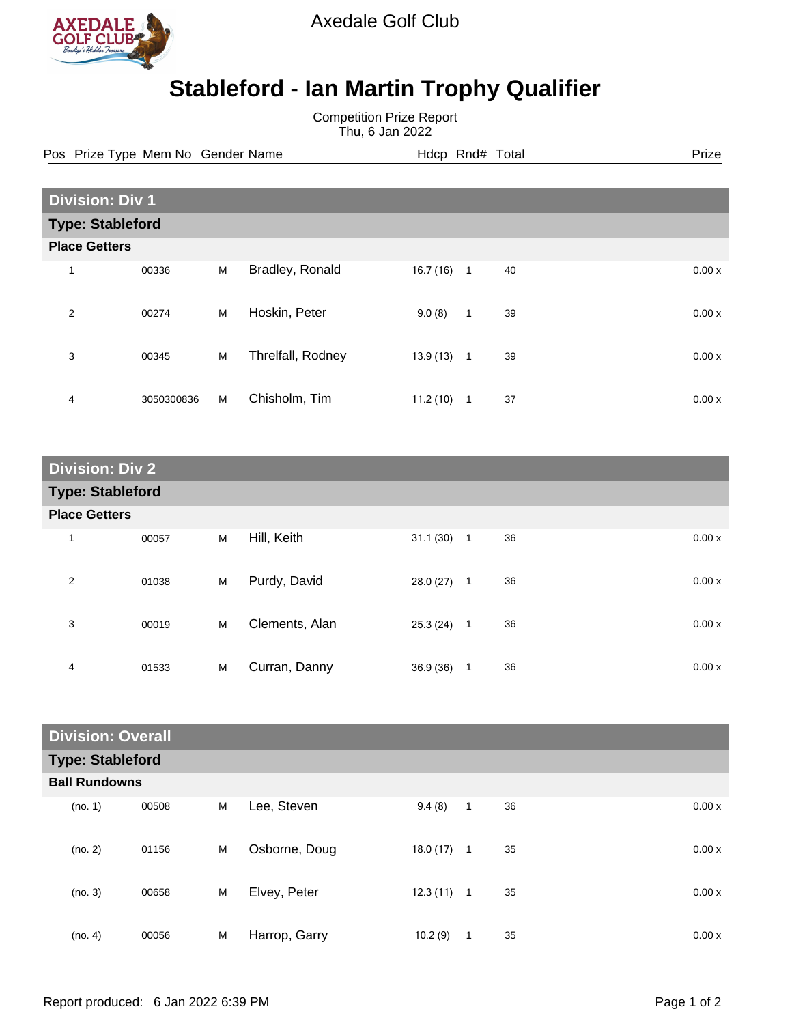

Axedale Golf Club

## **Stableford - Ian Martin Trophy Qualifier**

Competition Prize Report Thu, 6 Jan 2022

Pos Prize Type Mem No Gender Name **Heath Hotel And According Prize** Prize

|                         | <b>Division: Div 1</b> |   |                   |          |              |    |       |  |
|-------------------------|------------------------|---|-------------------|----------|--------------|----|-------|--|
| <b>Type: Stableford</b> |                        |   |                   |          |              |    |       |  |
| <b>Place Getters</b>    |                        |   |                   |          |              |    |       |  |
| 1                       | 00336                  | M | Bradley, Ronald   | 16.7(16) | $\mathbf{1}$ | 40 | 0.00x |  |
| $\overline{2}$          | 00274                  | M | Hoskin, Peter     | 9.0(8)   | $\mathbf{1}$ | 39 | 0.00x |  |
| 3                       | 00345                  | M | Threlfall, Rodney | 13.9(13) | $\mathbf{1}$ | 39 | 0.00x |  |
| 4                       | 3050300836             | M | Chisholm, Tim     | 11.2(10) | 1            | 37 | 0.00x |  |

| <b>Division: Div 2</b>  |       |   |                |           |              |    |       |
|-------------------------|-------|---|----------------|-----------|--------------|----|-------|
| <b>Type: Stableford</b> |       |   |                |           |              |    |       |
| <b>Place Getters</b>    |       |   |                |           |              |    |       |
| $\mathbf 1$             | 00057 | M | Hill, Keith    | 31.1(30)  | $\mathbf{1}$ | 36 | 0.00x |
| $\overline{2}$          | 01038 | M | Purdy, David   | 28.0(27)  | $\mathbf{1}$ | 36 | 0.00x |
| 3                       | 00019 | M | Clements, Alan | 25.3 (24) | $\mathbf 1$  | 36 | 0.00x |
| 4                       | 01533 | M | Curran, Danny  | 36.9(36)  | 1            | 36 | 0.00x |

| <b>Division: Overall</b> |                         |       |   |               |              |              |    |       |
|--------------------------|-------------------------|-------|---|---------------|--------------|--------------|----|-------|
|                          | <b>Type: Stableford</b> |       |   |               |              |              |    |       |
|                          | <b>Ball Rundowns</b>    |       |   |               |              |              |    |       |
|                          | (no. 1)                 | 00508 | M | Lee, Steven   | 9.4(8)       | $\mathbf{1}$ | 36 | 0.00x |
|                          | (no. 2)                 | 01156 | M | Osborne, Doug | 18.0(17)     | $\mathbf{1}$ | 35 | 0.00x |
|                          | (no. 3)                 | 00658 | M | Elvey, Peter  | $12.3(11)$ 1 |              | 35 | 0.00x |
|                          | (no. 4)                 | 00056 | M | Harrop, Garry | 10.2(9)      | 1            | 35 | 0.00x |